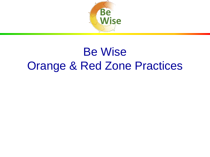

## Be Wise Orange & Red Zone Practices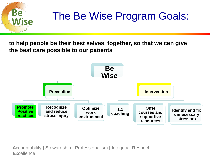

# The Be Wise Program Goals:

**to help people be their best selves, together, so that we can give the best care possible to our patients** 



**A**ccountability | **S**tewardship | **P**rofessionalism | **I**ntegrity | **R**espect | **E**xcellence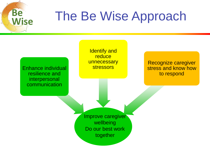

# The Be Wise Approach

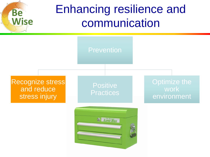

## Enhancing resilience and communication

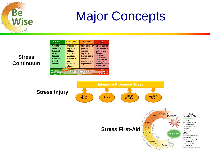# **Be Wise**

# Major Concepts

| <b>READY</b><br>(Green)                                                                                                                                      | <b>REACTING</b><br>(Yellow)                                                                                                    | <b>INJURED</b><br>(Orange)                                                                                                     | ПL<br>(Red)                                                                                                                                                                  |
|--------------------------------------------------------------------------------------------------------------------------------------------------------------|--------------------------------------------------------------------------------------------------------------------------------|--------------------------------------------------------------------------------------------------------------------------------|------------------------------------------------------------------------------------------------------------------------------------------------------------------------------|
| • Good to go<br>• Well trained<br>• Prepared<br>• Fit and<br>focused<br><b>Cohesive units</b><br>& ready<br>families                                         | <b>Distress or</b><br>impairment<br>• Mild and<br>transient<br>• Anxious,<br>irritable, or<br>sad<br><b>Behavior</b><br>change | • More severe or<br>persistent<br>distress or<br>impairment<br>• Leaves lasting<br>memories,<br>reactions, and<br>expectations | <b>· Stress injuries</b><br>that don't heal<br>without help<br>• Symptoms<br>persist for<br>many weeks.<br>get worse, or<br>initially get<br>better and then<br>return worse |
| Stresso<br><b>Unit Leader</b><br>Individual, Shipmate, Family<br><b>Caregiver</b><br><b>Responsibility</b><br><b>Responsibility</b><br><b>Responsibility</b> |                                                                                                                                |                                                                                                                                |                                                                                                                                                                              |

#### **Stress Continuum**

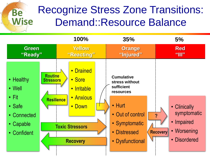### Recognize Stress Zone Transitions: Demand::Resource Balance

**Be** 

**Wise**

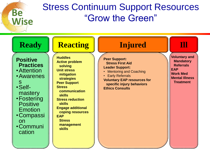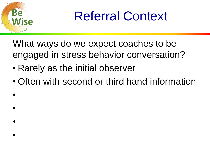

•

•

•

•

Referral Context

What ways do we expect coaches to be engaged in stress behavior conversation?

- Rarely as the initial observer
- Often with second or third hand information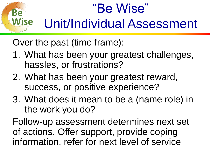### **Wise** "Be Wise" Unit/Individual Assessment

Over the past (time frame):

**Be** 

- 1. What has been your greatest challenges, hassles, or frustrations?
- 2. What has been your greatest reward, success, or positive experience?
- 3. What does it mean to be a (name role) in the work you do?

Follow-up assessment determines next set of actions. Offer support, provide coping information, refer for next level of service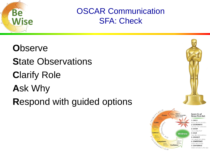

OSCAR Communication SFA: Check

**O**bserve **S**tate Observations **C**larify Role **A**sk Why **R**espond with guided options



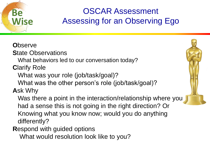

### OSCAR Assessment Assessing for an Observing Ego

**O**bserve **S**tate Observations What behaviors led to our conversation today? **C**larify Role What was your role (job/task/goal)? What was the other person's role (job/task/goal)? **A**sk Why Was there a point in the interaction/relationship where you had a sense this is not going in the right direction? Or Knowing what you know now; would you do anything differently?

**R**espond with guided options

What would resolution look like to you?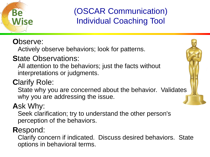

(OSCAR Communication) Individual Coaching Tool

#### **O**bserve:

Actively observe behaviors; look for patterns.

#### **S**tate Observations:

All attention to the behaviors; just the facts without interpretations or judgments.

### **C**larify Role:

State why you are concerned about the behavior. Validates why you are addressing the issue.

### **A**sk Why:

Seek clarification; try to understand the other person's perception of the behaviors.

#### **R**espond:

Clarify concern if indicated. Discuss desired behaviors. State options in behavioral terms.